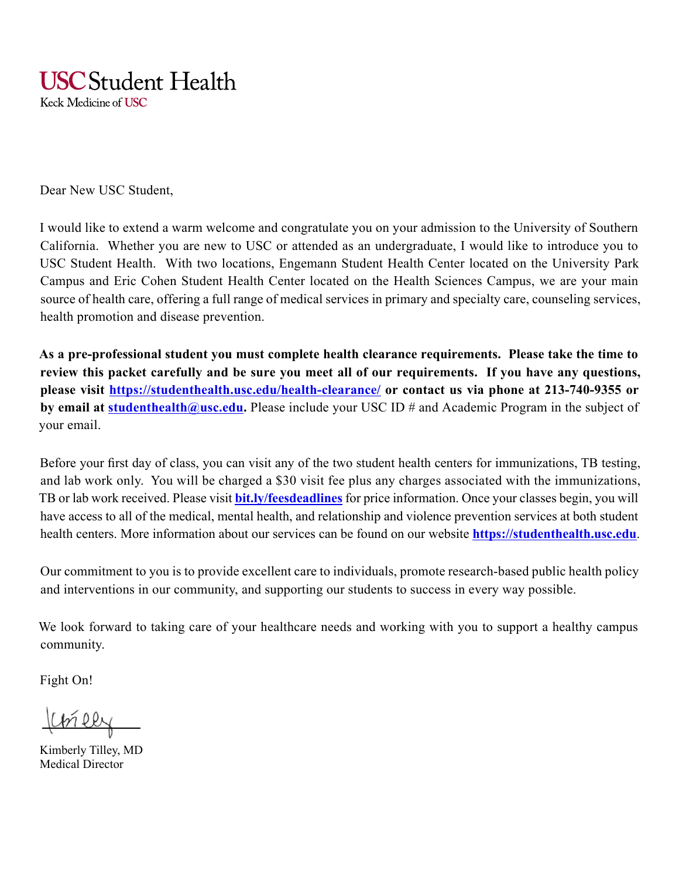# **USC** Student Health

Keck Medicine of USC

Dear New USC Student,

I would like to extend a warm welcome and congratulate you on your admission to the University of Southern California. Whether you are new to USC or attended as an undergraduate, I would like to introduce you to USC Student Health. With two locations, Engemann Student Health Center located on the University Park Campus and Eric Cohen Student Health Center located on the Health Sciences Campus, we are your main source of health care, offering a full range of medical services in primary and specialty care, counseling services, health promotion and disease prevention.

**As a pre-professional student you must complete health clearance requirements. Please take the time to review this packet carefully and be sure you meet all of our requirements. If you have any questions, please visit https://studenthealth.usc.edu/health-clearance/ or contact us via phone at 213-740-9355 or by email at studenthealth@usc.edu.** Please include your USC ID # and Academic Program in the subject of your email.

Before your first day of class, you can visit any of the two student health centers for immunizations, TB testing, and lab work only. You will be charged a \$30 visit fee plus any charges associated with the immunizations, TB or lab work received. Please visit **bit.ly/feesdeadlines** for price information. Once your classes begin, you will have access to all of the medical, mental health, and relationship and violence prevention services at both student health centers. More information about our services can be found on our website **https://studenthealth.usc.edu**.

Our commitment to you is to provide excellent care to individuals, promote research-based public health policy and interventions in our community, and supporting our students to success in every way possible.

We look forward to taking care of your healthcare needs and working with you to support a healthy campus community.

Fight On!

Koneey

Kimberly Tilley, MD Medical Director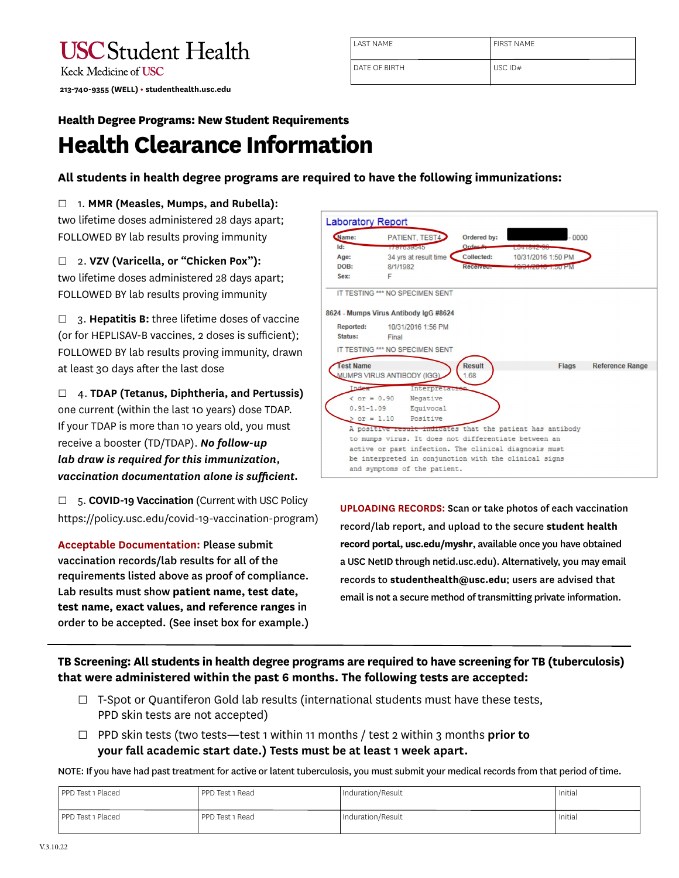| <b>USC</b> Student Health                   |
|---------------------------------------------|
| Keck Medicine of <b>USC</b>                 |
| 213-740-9355 (WELL) · studenthealth.usc.edu |

| <b>LAST NAME</b>     | <b>FIRST NAME</b> |
|----------------------|-------------------|
| <b>DATE OF BIRTH</b> | USC $ID#$         |

### **Health Degree Programs: New Student Requirements Health Clearance Information**

#### **All students in health degree programs are required to have the following immunizations:**

#### □ 1. **MMR (Measles, Mumps, and Rubella):**

two lifetime doses administered 28 days apart; FOLLOWED BY lab results proving immunity

#### □ 2. **VZV (Varicella, or "Chicken Pox"):**

two lifetime doses administered 28 days apart; FOLLOWED BY lab results proving immunity

□ 3. **Hepatitis B:** three lifetime doses of vaccine (or for HEPLISAV-B vaccines, 2 doses is sufficient); FOLLOWED BY lab results proving immunity, drawn at least 30 days after the last dose

□ 4. **TDAP (Tetanus, Diphtheria, and Pertussis)**  one current (within the last 10 years) dose TDAP. If your TDAP is more than 10 years old, you must receive a booster (TD/TDAP). *No follow-up lab draw is required for this immunization, vaccination documentation alone is sufficient.*

□ 5. **COVID-19 Vaccination** (Current with USC Policy https://policy.usc.edu/covid-19-vaccination-program)

**Acceptable Documentation:** Please submit vaccination records/lab results for all of the requirements listed above as proof of compliance. Lab results must show **patient name, test date, test name, exact values, and reference ranges** in order to be accepted. (See inset box for example.)

| Name:                | PATIENT, TEST4                                            | Ordered by:   | $-0000$                 |                        |
|----------------------|-----------------------------------------------------------|---------------|-------------------------|------------------------|
| Id:                  | <b>TANARASSING</b>                                        | Order #       |                         |                        |
| Age:                 | 34 yrs at result time                                     | Collected:    | 10/31/2016 1:50 PM      |                        |
| DOB:<br>Sex:         | 8/1/1982<br>F                                             | Received      | <u>we irong 1.00 PM</u> |                        |
|                      |                                                           |               |                         |                        |
|                      | IT TESTING *** NO SPECIMEN SENT                           |               |                         |                        |
|                      |                                                           |               |                         |                        |
|                      | 8624 - Mumps Virus Antibody IgG #8624                     |               |                         |                        |
| <b>Reported:</b>     | 10/31/2016 1:56 PM                                        |               |                         |                        |
|                      |                                                           |               |                         |                        |
| Status:              | Final                                                     |               |                         |                        |
|                      | IT TESTING *** NO SPECIMEN SENT                           |               |                         |                        |
|                      |                                                           |               |                         |                        |
| <b>Test Name</b>     |                                                           | <b>Result</b> | <b>Flags</b>            |                        |
|                      | MUMPS VIRUS ANTIBODY (IGG)                                | 1.68          |                         |                        |
| Index                | Interpretacion                                            |               |                         | <b>Reference Range</b> |
| $\text{ or } = 0.90$ | Negative                                                  |               |                         |                        |
| $0.91 - 1.09$        | Equivocal                                                 |               |                         |                        |
| $> or = 1.10$        | Positive                                                  |               |                         |                        |
|                      | A positive result indicates that the patient has antibody |               |                         |                        |
|                      | to mumps virus. It does not differentiate between an      |               |                         |                        |
|                      | active or past infection. The clinical diagnosis must     |               |                         |                        |

**UPLOADING RECORDS:** Scan or take photos of each vaccination record/lab report, and upload to the secure **student health record portal, usc.edu/myshr**, available once you have obtained a USC NetID through netid.usc.edu). Alternatively, you may email records to **studenthealth@usc.edu**; users are advised that email is not a secure method of transmitting private information.

**TB Screening: All students in health degree programs are required to have screening for TB (tuberculosis) that were administered within the past 6 months. The following tests are accepted:**

- $\Box$  T-Spot or Quantiferon Gold lab results (international students must have these tests, PPD skin tests are not accepted)
- □ PPD skin tests (two tests—test 1 within 11 months / test 2 within 3 months **prior to your fall academic start date.) Tests must be at least 1 week apart.**

NOTE: If you have had past treatment for active or latent tuberculosis, you must submit your medical records from that period of time.

| PPD Test 1 Placed | PPD Test 1 Read | Induration/Result | Initial |
|-------------------|-----------------|-------------------|---------|
|                   |                 |                   |         |
| PPD Test 1 Placed | PPD Test 1 Read | Induration/Result | Initial |
|                   |                 |                   |         |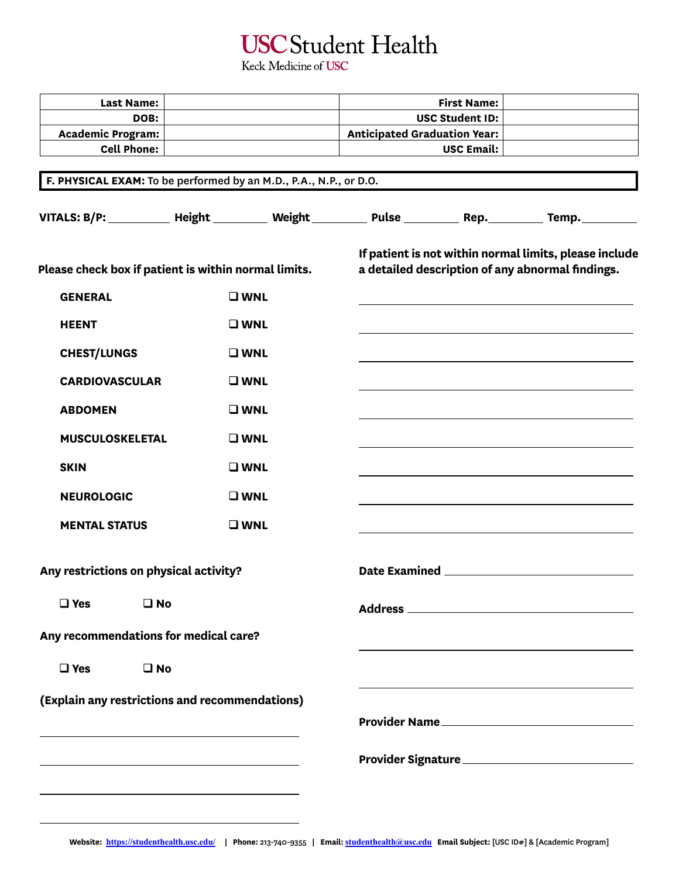# **USC** Student Health

Keck Medicine of USC

| <b>Last Name:</b>                                                                                 |  |                              |                   | <b>First Name:</b>                                                                                         |               |  |
|---------------------------------------------------------------------------------------------------|--|------------------------------|-------------------|------------------------------------------------------------------------------------------------------------|---------------|--|
| DOB:                                                                                              |  | <b>USC Student ID:</b>       |                   |                                                                                                            |               |  |
| <b>Academic Program:</b>                                                                          |  | Anticipated Graduation Year: |                   |                                                                                                            |               |  |
| <b>Cell Phone:</b>                                                                                |  |                              | <b>USC Email:</b> |                                                                                                            |               |  |
|                                                                                                   |  |                              |                   |                                                                                                            |               |  |
| F. PHYSICAL EXAM: To be performed by an M.D., P.A., N.P., or D.O.                                 |  |                              |                   |                                                                                                            |               |  |
| VITALS: B/P: _________ Height ________ Weight ________ Pulse ________ Rep. _______ Temp. ________ |  |                              |                   |                                                                                                            |               |  |
| Please check box if patient is within normal limits.                                              |  |                              |                   | If patient is not within normal limits, please include<br>a detailed description of any abnormal findings. |               |  |
| <b>GENERAL</b>                                                                                    |  | $\square$ WNL                |                   |                                                                                                            |               |  |
| <b>HEENT</b>                                                                                      |  | $\square$ WNL                |                   |                                                                                                            |               |  |
| <b>CHEST/LUNGS</b>                                                                                |  | $\square$ WNL                |                   |                                                                                                            |               |  |
| <b>CARDIOVASCULAR</b>                                                                             |  | $\square$ WNL                |                   |                                                                                                            |               |  |
| <b>ABDOMEN</b>                                                                                    |  | $\square$ WNL                |                   |                                                                                                            |               |  |
| <b>MUSCULOSKELETAL</b>                                                                            |  | $\square$ WNL                |                   |                                                                                                            |               |  |
| <b>SKIN</b>                                                                                       |  | $\square$ WNL                |                   |                                                                                                            |               |  |
| <b>NEUROLOGIC</b>                                                                                 |  | $\square$ WNL                |                   |                                                                                                            |               |  |
| <b>MENTAL STATUS</b>                                                                              |  | $\square$ WNL                |                   |                                                                                                            |               |  |
| Any restrictions on physical activity?                                                            |  |                              |                   |                                                                                                            |               |  |
| $\Box$ Yes<br>$\square$ No                                                                        |  |                              |                   |                                                                                                            |               |  |
| Any recommendations for medical care?                                                             |  |                              |                   |                                                                                                            |               |  |
| $\Box$ Yes<br>$\square$ No                                                                        |  |                              |                   |                                                                                                            |               |  |
| (Explain any restrictions and recommendations)                                                    |  |                              |                   |                                                                                                            |               |  |
|                                                                                                   |  |                              |                   |                                                                                                            | Provider Name |  |
|                                                                                                   |  |                              |                   |                                                                                                            |               |  |
|                                                                                                   |  |                              |                   |                                                                                                            |               |  |